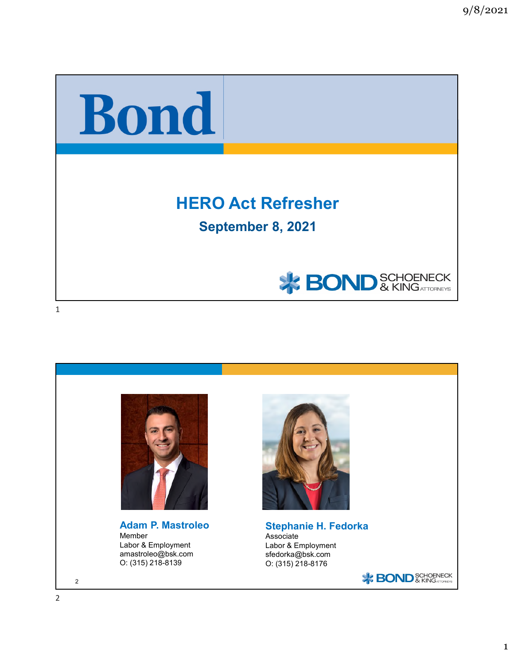

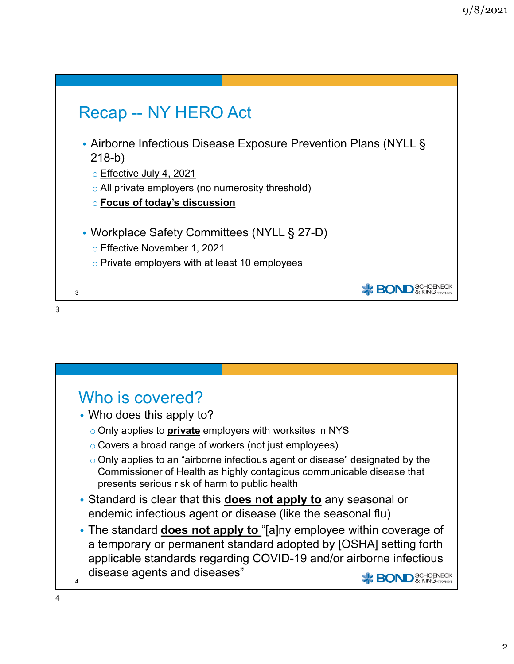



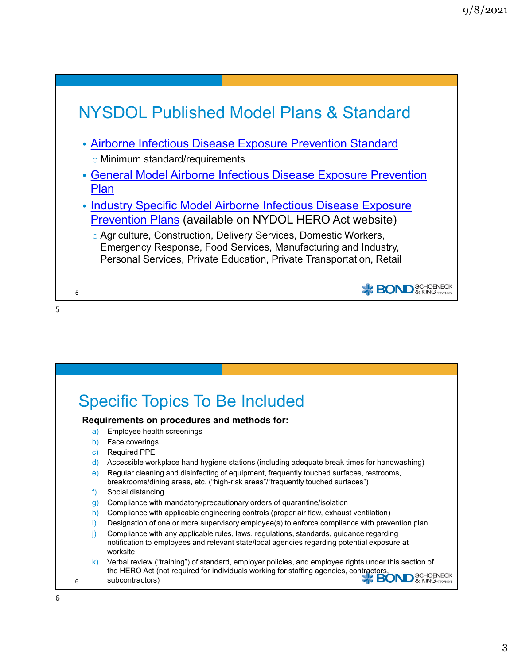

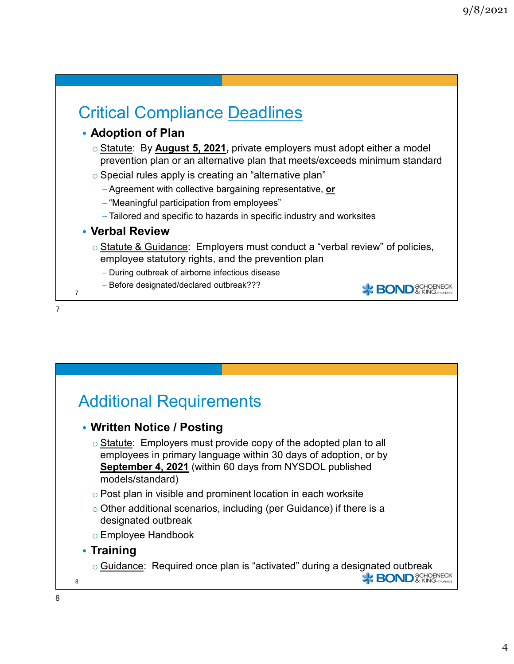### Critical Compliance Deadlines • **Adoption of Plan** o Statute: By **August 5, 2021,** private employers must adopt either a model prevention plan or an alternative plan that meets/exceeds minimum standard o Special rules apply is creating an "alternative plan" −Agreement with collective bargaining representative, **or** −"Meaningful participation from employees" −Tailored and specific to hazards in specific industry and worksites • **Verbal Review**  $\circ$  Statute & Guidance: Employers must conduct a "verbal review" of policies, employee statutory rights, and the prevention plan − During outbreak of airborne infectious disease − Before designated/declared outbreak??? **X BOND** & KINGATTOFNECK 7

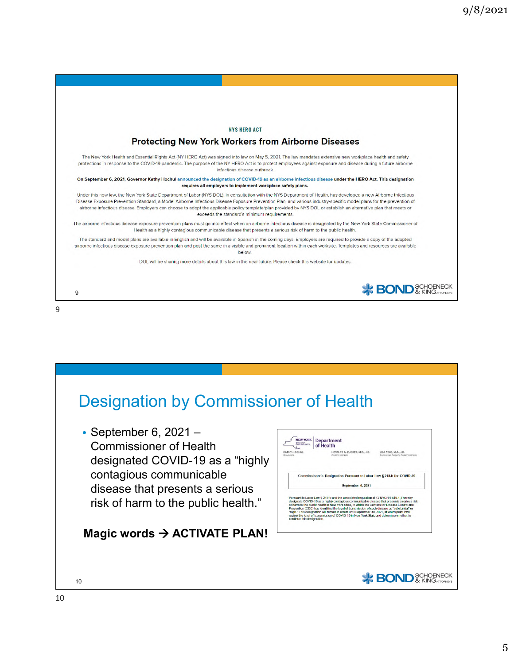



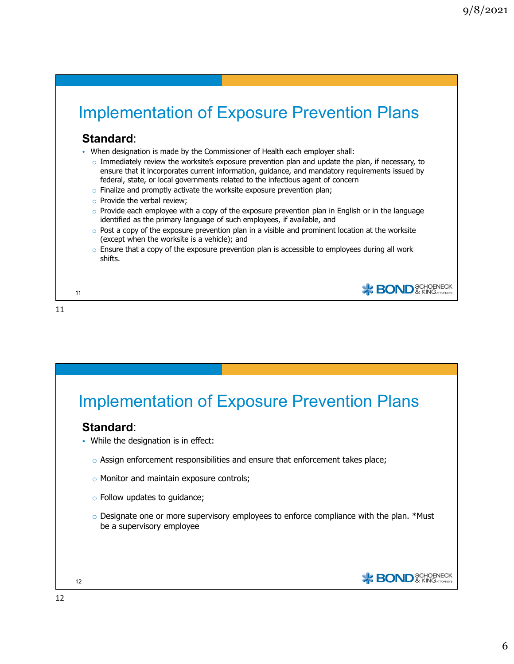**\***BOND<sup>SCHOENECK</sup>

**\*** BOND<sup>SCHOENECK</sup>

# Implementation of Exposure Prevention Plans

#### **Standard**:

- When designation is made by the Commissioner of Health each employer shall:
	- $\circ$  Immediately review the worksite's exposure prevention plan and update the plan, if necessary, to ensure that it incorporates current information, guidance, and mandatory requirements issued by federal, state, or local governments related to the infectious agent of concern
	- $\circ$  Finalize and promptly activate the worksite exposure prevention plan;
	- o Provide the verbal review;
	- $\circ$  Provide each employee with a copy of the exposure prevention plan in English or in the language identified as the primary language of such employees, if available, and
	- $\circ$  Post a copy of the exposure prevention plan in a visible and prominent location at the worksite (except when the worksite is a vehicle); and
	- $\circ$  Ensure that a copy of the exposure prevention plan is accessible to employees during all work shifts.

11

11

### Implementation of Exposure Prevention Plans

#### **Standard**:

- While the designation is in effect:
	- $\circ$  Assign enforcement responsibilities and ensure that enforcement takes place;
	- o Monitor and maintain exposure controls;
	- o Follow updates to guidance;
	- $\circ$  Designate one or more supervisory employees to enforce compliance with the plan. \*Must be a supervisory employee

12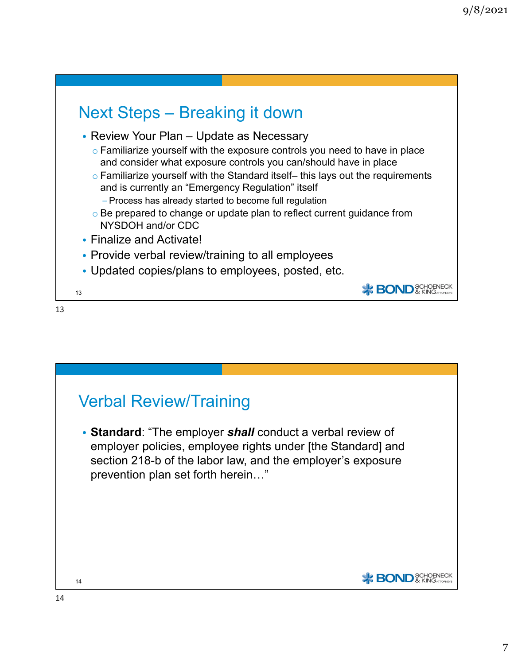



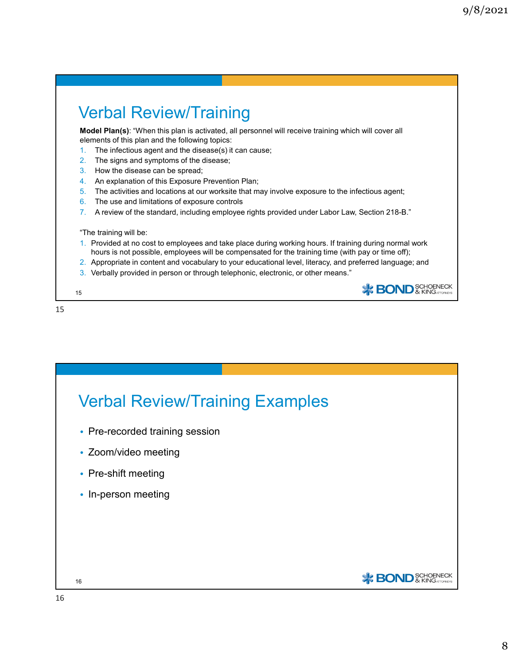**\***BOND<sup>SCHOENECK</sup>

## Verbal Review/Training

**Model Plan(s)**: "When this plan is activated, all personnel will receive training which will cover all elements of this plan and the following topics:

- 1. The infectious agent and the disease(s) it can cause;
- 2. The signs and symptoms of the disease;
- 3. How the disease can be spread;
- 4. An explanation of this Exposure Prevention Plan;
- 5. The activities and locations at our worksite that may involve exposure to the infectious agent;
- 6. The use and limitations of exposure controls
- 7. A review of the standard, including employee rights provided under Labor Law, Section 218-B."

"The training will be:

- 1. Provided at no cost to employees and take place during working hours. If training during normal work hours is not possible, employees will be compensated for the training time (with pay or time off);
- 2. Appropriate in content and vocabulary to your educational level, literacy, and preferred language; and
- 3. Verbally provided in person or through telephonic, electronic, or other means."



15

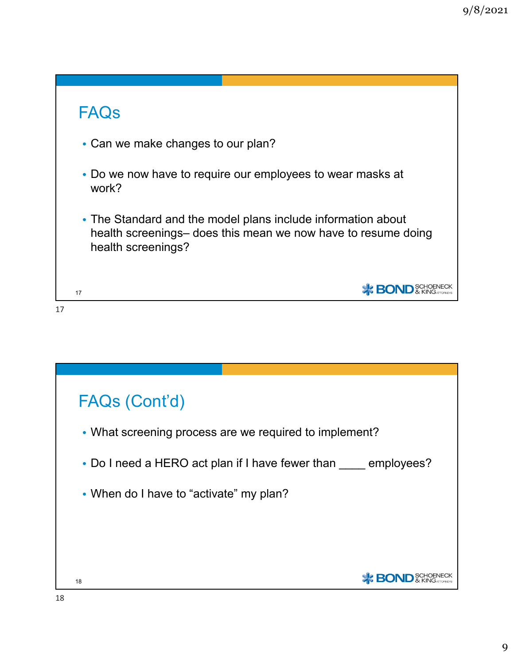